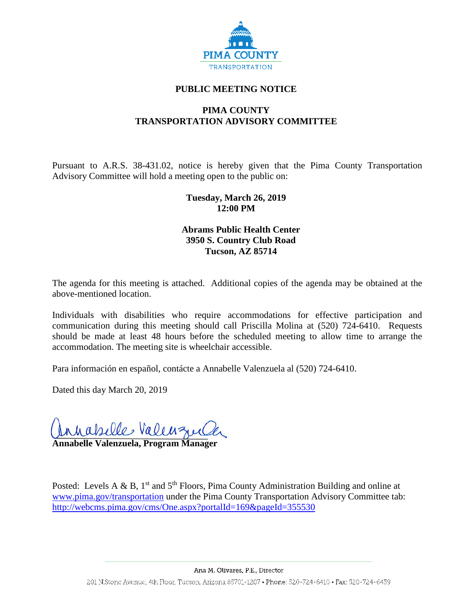

# **PUBLIC MEETING NOTICE**

# **PIMA COUNTY TRANSPORTATION ADVISORY COMMITTEE**

Pursuant to A.R.S. 38-431.02, notice is hereby given that the Pima County Transportation Advisory Committee will hold a meeting open to the public on:

## **Tuesday, March 26, 2019 12:00 PM**

# **Abrams Public Health Center 3950 S. Country Club Road Tucson, AZ 85714**

The agenda for this meeting is attached. Additional copies of the agenda may be obtained at the above-mentioned location.

Individuals with disabilities who require accommodations for effective participation and communication during this meeting should call Priscilla Molina at (520) 724-6410. Requests should be made at least 48 hours before the scheduled meeting to allow time to arrange the accommodation. The meeting site is wheelchair accessible.

Para información en español, contácte a Annabelle Valenzuela al (520) 724-6410.

Dated this day March 20, 2019

**\_\_\_\_\_\_\_\_\_\_\_\_\_\_\_\_\_\_\_\_\_\_\_\_\_\_\_\_\_\_\_\_\_\_\_\_\_\_**

**Annabelle Valenzuela, Program Manager**

Posted: Levels A & B,  $1^{st}$  and  $5^{th}$  Floors, Pima County Administration Building and online at [www.pima.gov/transportation](http://www.pima.gov/transportation) under the Pima County Transportation Advisory Committee tab: <http://webcms.pima.gov/cms/One.aspx?portalId=169&pageId=355530>